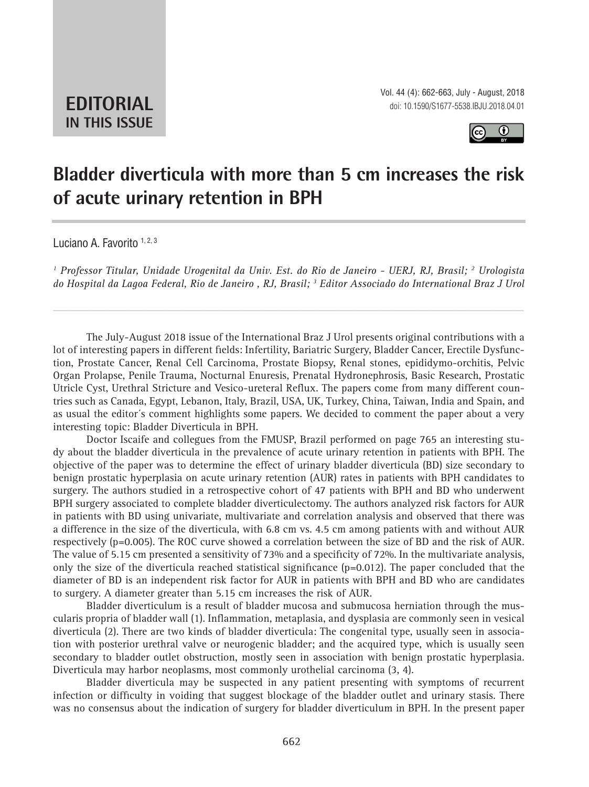**EDITORIAL IN THIS ISSUE**



## **Bladder diverticula with more than 5 cm increases the risk of acute urinary retention in BPH \_\_\_\_\_\_\_\_\_\_\_\_\_\_\_\_\_\_\_\_\_\_\_\_\_\_\_\_\_\_\_\_\_\_\_\_\_\_\_\_\_\_\_\_\_\_\_**

Luciano A. Favorito 1, 2, 3

<sup>1</sup> Professor Titular, Unidade Urogenital da Univ. Est. do Rio de Janeiro - UERJ, RJ, Brasil; <sup>2</sup> Urologista *do Hospital da Lagoa Federal, Rio de Janeiro , RJ, Brasil; 3 Editor Associado do International Braz J Urol*

*\_\_\_\_\_\_\_\_\_\_\_\_\_\_\_\_\_\_\_\_\_\_\_\_\_\_\_\_\_\_\_\_\_\_\_\_\_\_\_\_\_\_\_\_\_\_\_\_\_\_\_\_\_\_\_\_\_\_\_\_\_\_\_\_\_\_\_\_\_\_\_\_\_\_\_\_\_\_\_\_\_\_\_\_\_\_\_*

The July-August 2018 issue of the International Braz J Urol presents original contributions with a lot of interesting papers in different fields: Infertility, Bariatric Surgery, Bladder Cancer, Erectile Dysfunction, Prostate Cancer, Renal Cell Carcinoma, Prostate Biopsy, Renal stones, epididymo-orchitis, Pelvic Organ Prolapse, Penile Trauma, Nocturnal Enuresis, Prenatal Hydronephrosis, Basic Research, Prostatic Utricle Cyst, Urethral Stricture and Vesico-ureteral Reflux. The papers come from many different countries such as Canada, Egypt, Lebanon, Italy, Brazil, USA, UK, Turkey, China, Taiwan, India and Spain, and as usual the editor´s comment highlights some papers. We decided to comment the paper about a very interesting topic: Bladder Diverticula in BPH.

Doctor Iscaife and collegues from the FMUSP, Brazil performed on page 765 an interesting study about the bladder diverticula in the prevalence of acute urinary retention in patients with BPH. The objective of the paper was to determine the effect of urinary bladder diverticula (BD) size secondary to benign prostatic hyperplasia on acute urinary retention (AUR) rates in patients with BPH candidates to surgery. The authors studied in a retrospective cohort of 47 patients with BPH and BD who underwent BPH surgery associated to complete bladder diverticulectomy. The authors analyzed risk factors for AUR in patients with BD using univariate, multivariate and correlation analysis and observed that there was a difference in the size of the diverticula, with 6.8 cm vs. 4.5 cm among patients with and without AUR respectively (p=0.005). The ROC curve showed a correlation between the size of BD and the risk of AUR. The value of 5.15 cm presented a sensitivity of 73% and a specificity of 72%. In the multivariate analysis, only the size of the diverticula reached statistical significance  $(p=0.012)$ . The paper concluded that the diameter of BD is an independent risk factor for AUR in patients with BPH and BD who are candidates to surgery. A diameter greater than 5.15 cm increases the risk of AUR.

Bladder diverticulum is a result of bladder mucosa and submucosa herniation through the muscularis propria of bladder wall (1). Inflammation, metaplasia, and dysplasia are commonly seen in vesical diverticula (2). There are two kinds of bladder diverticula: The congenital type, usually seen in association with posterior urethral valve or neurogenic bladder; and the acquired type, which is usually seen secondary to bladder outlet obstruction, mostly seen in association with benign prostatic hyperplasia. Diverticula may harbor neoplasms, most commonly urothelial carcinoma (3, 4).

Bladder diverticula may be suspected in any patient presenting with symptoms of recurrent infection or difficulty in voiding that suggest blockage of the bladder outlet and urinary stasis. There was no consensus about the indication of surgery for bladder diverticulum in BPH. In the present paper